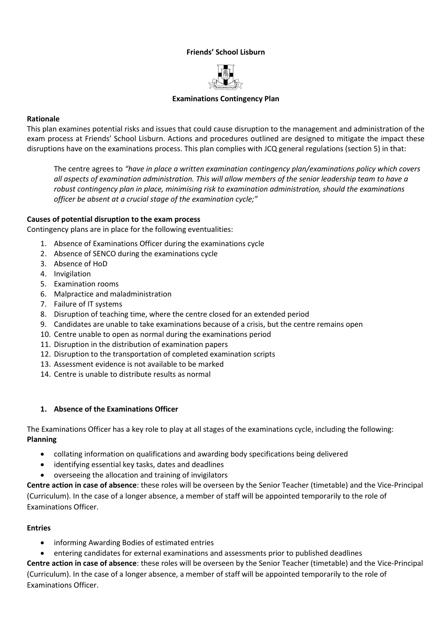### **Friends' School Lisburn**



## **Examinations Contingency Plan**

# **Rationale**

This plan examines potential risks and issues that could cause disruption to the management and administration of the exam process at Friends' School Lisburn. Actions and procedures outlined are designed to mitigate the impact these disruptions have on the examinations process. This plan complies with JCQ general regulations (section 5) in that:

The centre agrees to *"have in place a written examination contingency plan/examinations policy which covers all aspects of examination administration. This will allow members of the senior leadership team to have a robust contingency plan in place, minimising risk to examination administration, should the examinations officer be absent at a crucial stage of the examination cycle;"*

## **Causes of potential disruption to the exam process**

Contingency plans are in place for the following eventualities:

- 1. Absence of Examinations Officer during the examinations cycle
- 2. Absence of SENCO during the examinations cycle
- 3. Absence of HoD
- 4. Invigilation
- 5. Examination rooms
- 6. Malpractice and maladministration
- 7. Failure of IT systems
- 8. Disruption of teaching time, where the centre closed for an extended period
- 9. Candidates are unable to take examinations because of a crisis, but the centre remains open
- 10. Centre unable to open as normal during the examinations period
- 11. Disruption in the distribution of examination papers
- 12. Disruption to the transportation of completed examination scripts
- 13. Assessment evidence is not available to be marked
- 14. Centre is unable to distribute results as normal

### **1. Absence of the Examinations Officer**

The Examinations Officer has a key role to play at all stages of the examinations cycle, including the following: **Planning**

- collating information on qualifications and awarding body specifications being delivered
- identifying essential key tasks, dates and deadlines
- overseeing the allocation and training of invigilators

**Centre action in case of absence**: these roles will be overseen by the Senior Teacher (timetable) and the Vice-Principal (Curriculum). In the case of a longer absence, a member of staff will be appointed temporarily to the role of Examinations Officer.

# **Entries**

- informing Awarding Bodies of estimated entries
- entering candidates for external examinations and assessments prior to published deadlines

**Centre action in case of absence**: these roles will be overseen by the Senior Teacher (timetable) and the Vice-Principal (Curriculum). In the case of a longer absence, a member of staff will be appointed temporarily to the role of Examinations Officer.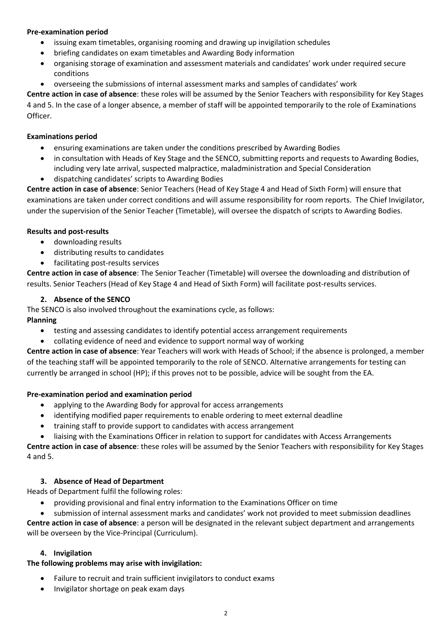# **Pre-examination period**

- issuing exam timetables, organising rooming and drawing up invigilation schedules
- briefing candidates on exam timetables and Awarding Body information
- organising storage of examination and assessment materials and candidates' work under required secure conditions
- overseeing the submissions of internal assessment marks and samples of candidates' work

**Centre action in case of absence**: these roles will be assumed by the Senior Teachers with responsibility for Key Stages 4 and 5. In the case of a longer absence, a member of staff will be appointed temporarily to the role of Examinations Officer.

# **Examinations period**

- ensuring examinations are taken under the conditions prescribed by Awarding Bodies
- in consultation with Heads of Key Stage and the SENCO, submitting reports and requests to Awarding Bodies, including very late arrival, suspected malpractice, maladministration and Special Consideration
- dispatching candidates' scripts to Awarding Bodies

**Centre action in case of absence**: Senior Teachers (Head of Key Stage 4 and Head of Sixth Form) will ensure that examinations are taken under correct conditions and will assume responsibility for room reports. The Chief Invigilator, under the supervision of the Senior Teacher (Timetable), will oversee the dispatch of scripts to Awarding Bodies.

## **Results and post-results**

- downloading results
- distributing results to candidates
- facilitating post-results services

**Centre action in case of absence**: The Senior Teacher (Timetable) will oversee the downloading and distribution of results. Senior Teachers (Head of Key Stage 4 and Head of Sixth Form) will facilitate post-results services.

## **2. Absence of the SENCO**

The SENCO is also involved throughout the examinations cycle, as follows:

# **Planning**

- testing and assessing candidates to identify potential access arrangement requirements
- collating evidence of need and evidence to support normal way of working

**Centre action in case of absence**: Year Teachers will work with Heads of School; if the absence is prolonged, a member of the teaching staff will be appointed temporarily to the role of SENCO. Alternative arrangements for testing can currently be arranged in school (HP); if this proves not to be possible, advice will be sought from the EA.

### **Pre-examination period and examination period**

- applying to the Awarding Body for approval for access arrangements
- identifying modified paper requirements to enable ordering to meet external deadline
- training staff to provide support to candidates with access arrangement
- liaising with the Examinations Officer in relation to support for candidates with Access Arrangements

**Centre action in case of absence**: these roles will be assumed by the Senior Teachers with responsibility for Key Stages 4 and 5.

### **3. Absence of Head of Department**

Heads of Department fulfil the following roles:

- providing provisional and final entry information to the Examinations Officer on time
- submission of internal assessment marks and candidates' work not provided to meet submission deadlines

**Centre action in case of absence**: a person will be designated in the relevant subject department and arrangements will be overseen by the Vice-Principal (Curriculum).

### **4. Invigilation**

# **The following problems may arise with invigilation:**

- Failure to recruit and train sufficient invigilators to conduct exams
- Invigilator shortage on peak exam days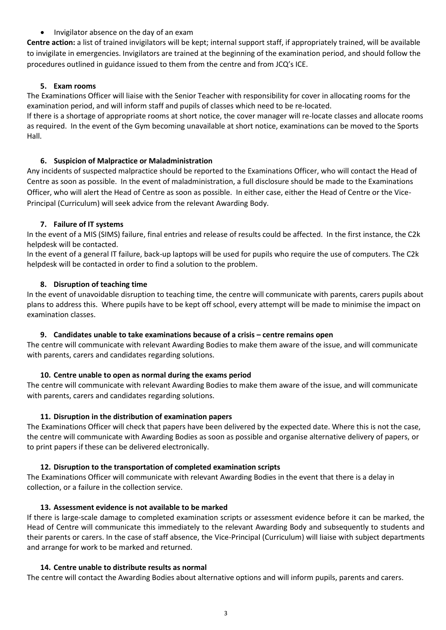• Invigilator absence on the day of an exam

**Centre action:** a list of trained invigilators will be kept; internal support staff, if appropriately trained, will be available to invigilate in emergencies. Invigilators are trained at the beginning of the examination period, and should follow the procedures outlined in guidance issued to them from the centre and from JCQ's ICE.

# **5. Exam rooms**

The Examinations Officer will liaise with the Senior Teacher with responsibility for cover in allocating rooms for the examination period, and will inform staff and pupils of classes which need to be re-located.

If there is a shortage of appropriate rooms at short notice, the cover manager will re-locate classes and allocate rooms as required. In the event of the Gym becoming unavailable at short notice, examinations can be moved to the Sports Hall.

## **6. Suspicion of Malpractice or Maladministration**

Any incidents of suspected malpractice should be reported to the Examinations Officer, who will contact the Head of Centre as soon as possible. In the event of maladministration, a full disclosure should be made to the Examinations Officer, who will alert the Head of Centre as soon as possible. In either case, either the Head of Centre or the Vice-Principal (Curriculum) will seek advice from the relevant Awarding Body.

## **7. Failure of IT systems**

In the event of a MIS (SIMS) failure, final entries and release of results could be affected. In the first instance, the C2k helpdesk will be contacted.

In the event of a general IT failure, back-up laptops will be used for pupils who require the use of computers. The C2k helpdesk will be contacted in order to find a solution to the problem.

## **8. Disruption of teaching time**

In the event of unavoidable disruption to teaching time, the centre will communicate with parents, carers pupils about plans to address this. Where pupils have to be kept off school, every attempt will be made to minimise the impact on examination classes.

### **9. Candidates unable to take examinations because of a crisis – centre remains open**

The centre will communicate with relevant Awarding Bodies to make them aware of the issue, and will communicate with parents, carers and candidates regarding solutions.

# **10. Centre unable to open as normal during the exams period**

The centre will communicate with relevant Awarding Bodies to make them aware of the issue, and will communicate with parents, carers and candidates regarding solutions.

### **11. Disruption in the distribution of examination papers**

The Examinations Officer will check that papers have been delivered by the expected date. Where this is not the case, the centre will communicate with Awarding Bodies as soon as possible and organise alternative delivery of papers, or to print papers if these can be delivered electronically.

### **12. Disruption to the transportation of completed examination scripts**

The Examinations Officer will communicate with relevant Awarding Bodies in the event that there is a delay in collection, or a failure in the collection service.

### **13. Assessment evidence is not available to be marked**

If there is large-scale damage to completed examination scripts or assessment evidence before it can be marked, the Head of Centre will communicate this immediately to the relevant Awarding Body and subsequently to students and their parents or carers. In the case of staff absence, the Vice-Principal (Curriculum) will liaise with subject departments and arrange for work to be marked and returned.

### **14. Centre unable to distribute results as normal**

The centre will contact the Awarding Bodies about alternative options and will inform pupils, parents and carers.